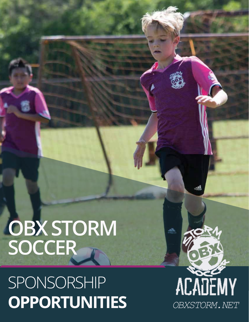# **OBX STORM SOCCER**

## SPONSORSHIP **OPPORTUNITIES**

ACADEMY *OBXSTORM.NET*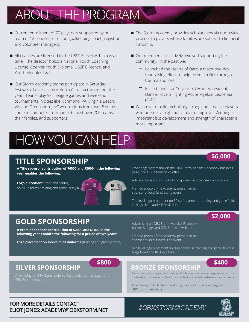## ABOUT THE PROGRAM

- Current enrollment of 75 players is supported by our team of 12 coaches, director, goalkeeping coach, registrar and volunteer managers.
- All coaches are licensed to the USSF E level within a year's time. The director holds a National Youth Coaching License, Coerver Youth Diploma, USSF E license, and Youth Modules I & II.
- Our Storm Academy teams participate in Saturday festivals all over eastern North Carolina throughout the year. Teams play VSLI league games and weekend tournaments in cities like Richmond, VA, Virginia Beach, VA, and Greensboro, NC where clubs from over 5 states come to compete. Tournaments host over 200 teams, their familes, and supporters.
- The Storm Academy provides scholarships via our review process to players whose families are subject to financial hardship.
- Our members are actively involved supporting the community. In the past we:
	- $\Box$  Launched the Hearts of Dare, a major two-day fundraising effort to help three families through trauma and loss.
	- $\Box$  Raised funds for 10 year old Manteo resident, Damian Rivera, fighting Acute Myeloid Leukemia (AML).
- We strive to build technically strong and creative players who possess a high motivation to improve. Winning is important but development and strength of character is more important.

## **TITLE SPONSORSHIP**

**A Title sponsor contribution of \$6000 and \$3000 in the following year enables the following:**

HOW YOU CAN HELP

**Logo placement** (front and center) on all uniforms (training and game jerseys)



## **\$6,000**

Front page advertising on the OBX Storm website, Facebook business page, and OBX Storm newsletter

Article submission with photo of sponsor in local news publication

Framed photo of the Academy presented to sponsor at local fundraising event

Top level logo placement on 30 sq ft banner at training and game fields in Nags Head and Kill Devil Hills

## **\$2,000**

## **GOLD SPONSORSHIP**

**A Premier sponsor contribution of \$2000 and \$1000 in the following year enables the following for a period of two years:**

**Logo placement on sleeve of all uniforms** (training and game jerseys)

Advertising on OBX Storm website, Facebook business page, and OBX Storm newsletter

Framed photo of the Academy presented to sponsor at local fundraising event

Mid level logo placement on club banner at training and game fields in Nags Head and Kill Devil Hills

Advertising on OBX Storm website, Facebook business page, and

### **\$800 \$400 SILVER SPONSORSHIP BRONZE SPONSORSHIP**

Funds the Academy program which ensures fully licensed coaches and helps expose our local youth to the positive aspects of team sports with a focus on individual development and success

Advertising on OBX Storm website, Facebook business page, and OBX Storm newsletter

### **FOR MORE DETAILS CONTACT ELIOT JONES: ACADEMY@OBXSTORM.NET** *#OBXSTORMACADEMY*